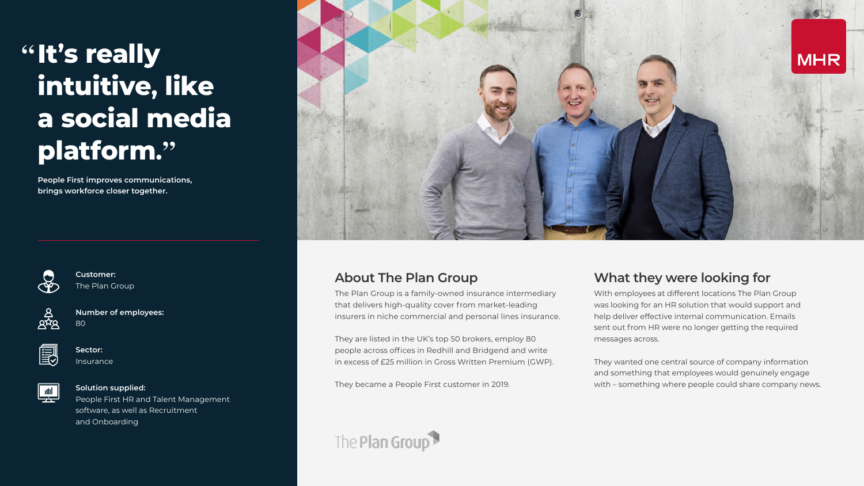# **" It's really intuitive, like a social media platform. "**

**People First improves communications, brings workforce closer together.**



The Plan Group is a family-owned insurance intermediary that delivers high-quality cover from market-leading insurers in niche commercial and personal lines insurance.

They are listed in the UK's top 50 brokers, employ 80 people across offices in Redhill and Bridgend and write in excess of £25 million in Gross Written Premium (GWP).

They became a People First customer in 2019.



With employees at different locations The Plan Group was looking for an HR solution that would support and help deliver effective internal communication. Emails sent out from HR were no longer getting the required messages across.

They wanted one central source of company information and something that employees would genuinely engage with – something where people could share company news.

**Customer:**  The Plan Group

| Ξ |
|---|

**Number of employees:**  80



**Sector:**  Insurance



#### **Solution supplied:**

People First HR and Talent Management software, as well as Recruitment and Onboarding



#### **About The Plan Group What they were looking for**